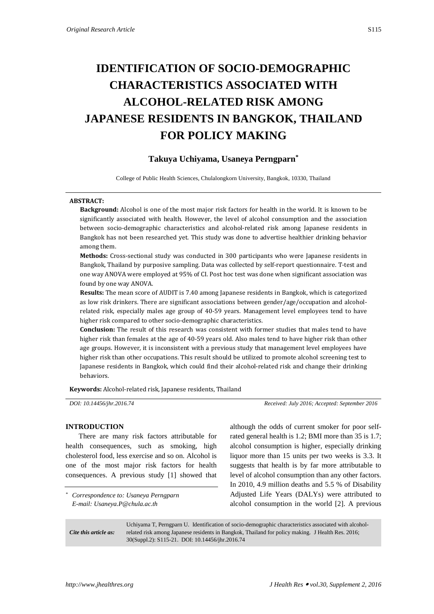# **IDENTIFICATION OF SOCIO-DEMOGRAPHIC CHARACTERISTICS ASSOCIATED WITH ALCOHOL-RELATED RISK AMONG JAPANESE RESIDENTS IN BANGKOK, THAILAND FOR POLICY MAKING**

## **Takuya Uchiyama, Usaneya Perngparn\***

College of Public Health Sciences, Chulalongkorn University, Bangkok, 10330, Thailand

#### **ABSTRACT:**

**Background:** Alcohol is one of the most major risk factors for health in the world. It is known to be significantly associated with health. However, the level of alcohol consumption and the association between socio-demographic characteristics and alcohol-related risk among Japanese residents in Bangkok has not been researched yet. This study was done to advertise healthier drinking behavior among them.

**Methods:** Cross-sectional study was conducted in 300 participants who were Japanese residents in Bangkok, Thailand by purposive sampling. Data was collected by self-report questionnaire. T-test and one way ANOVA were employed at 95% of CI. Post hoc test was done when significant association was found by one way ANOVA.

**Results:** The mean score of AUDIT is 7.40 among Japanese residents in Bangkok, which is categorized as low risk drinkers. There are significant associations between gender/age/occupation and alcoholrelated risk, especially males age group of 40-59 years. Management level employees tend to have higher risk compared to other socio-demographic characteristics.

**Conclusion:** The result of this research was consistent with former studies that males tend to have higher risk than females at the age of 40-59 years old. Also males tend to have higher risk than other age groups. However, it is inconsistent with a previous study that management level employees have higher risk than other occupations. This result should be utilized to promote alcohol screening test to Japanese residents in Bangkok, which could find their alcohol-related risk and change their drinking behaviors.

**Keywords:** Alcohol-related risk, Japanese residents, Thailand

*DOI: 10.14456/jhr.2016.74 Received: July 2016; Accepted: September 2016*

## **INTRODUCTION**

There are many risk factors attributable for health consequences, such as smoking, high cholesterol food, less exercise and so on. Alcohol is one of the most major risk factors for health consequences. A previous study [1] showed that

*\* Correspondence to: Usaneya Perngparn E-mail: Usaneya.P@chula.ac.th*

although the odds of current smoker for poor selfrated general health is 1.2; BMI more than 35 is 1.7; alcohol consumption is higher, especially drinking liquor more than 15 units per two weeks is 3.3. It suggests that health is by far more attributable to level of alcohol consumption than any other factors. In 2010, 4.9 million deaths and 5.5 % of Disability Adjusted Life Years (DALYs) were attributed to alcohol consumption in the world [2]. A previous

*Cite this article as:* Uchiyama T, Perngparn U. Identification of socio-demographic characteristics associated with alcoholrelated risk among Japanese residents in Bangkok, Thailand for policy making. J Health Res. 2016; 30(Suppl.2): S115-21. DOI: 10.14456/jhr.2016.74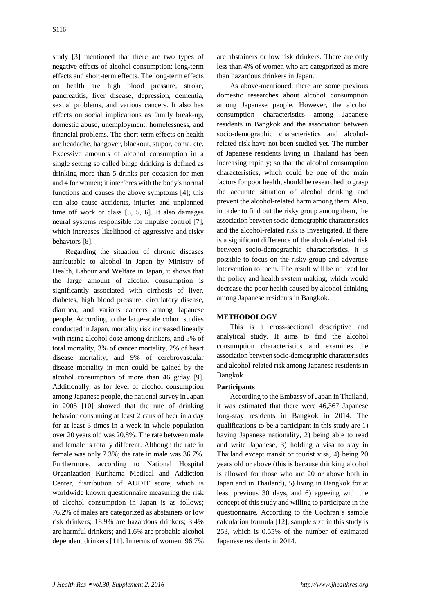study [3] mentioned that there are two types of negative effects of alcohol consumption: long-term effects and short-term effects. The long-term effects on health are high blood pressure, stroke, pancreatitis, liver disease, depression, dementia, sexual problems, and various cancers. It also has effects on social implications as family break-up, domestic abuse, unemployment, homelessness, and financial problems. The short-term effects on health are headache, hangover, blackout, stupor, coma, etc. Excessive amounts of alcohol consumption in a single setting so called binge drinking is defined as drinking more than 5 drinks per occasion for men and 4 for women; it interferes with the body's normal functions and causes the above symptoms [4]; this can also cause accidents, injuries and unplanned time off work or class [3, 5, 6]. It also damages neural systems responsible for impulse control [7], which increases likelihood of aggressive and risky behaviors [8].

Regarding the situation of chronic diseases attributable to alcohol in Japan by Ministry of Health, Labour and Welfare in Japan, it shows that the large amount of alcohol consumption is significantly associated with cirrhosis of liver, diabetes, high blood pressure, circulatory disease, diarrhea, and various cancers among Japanese people. According to the large-scale cohort studies conducted in Japan, mortality risk increased linearly with rising alcohol dose among drinkers, and 5% of total mortality, 3% of cancer mortality, 2% of heart disease mortality; and 9% of cerebrovascular disease mortality in men could be gained by the alcohol consumption of more than 46 g/day [9]. Additionally, as for level of alcohol consumption among Japanese people, the national survey in Japan in 2005 [10] showed that the rate of drinking behavior consuming at least 2 cans of beer in a day for at least 3 times in a week in whole population over 20 years old was 20.8%. The rate between male and female is totally different. Although the rate in female was only 7.3%; the rate in male was 36.7%. Furthermore, according to National Hospital Organization Kurihama Medical and Addiction Center, distribution of AUDIT score, which is worldwide known questionnaire measuring the risk of alcohol consumption in Japan is as follows; 76.2% of males are categorized as abstainers or low risk drinkers; 18.9% are hazardous drinkers; 3.4% are harmful drinkers; and 1.6% are probable alcohol dependent drinkers [11]. In terms of women, 96.7%

are abstainers or low risk drinkers. There are only less than 4% of women who are categorized as more than hazardous drinkers in Japan.

As above-mentioned, there are some previous domestic researches about alcohol consumption among Japanese people. However, the alcohol consumption characteristics among Japanese residents in Bangkok and the association between socio-demographic characteristics and alcoholrelated risk have not been studied yet. The number of Japanese residents living in Thailand has been increasing rapidly; so that the alcohol consumption characteristics, which could be one of the main factors for poor health, should be researched to grasp the accurate situation of alcohol drinking and prevent the alcohol-related harm among them. Also, in order to find out the risky group among them, the association between socio-demographic characteristics and the alcohol-related risk is investigated. If there is a significant difference of the alcohol-related risk between socio-demographic characteristics, it is possible to focus on the risky group and advertise intervention to them. The result will be utilized for the policy and health system making, which would decrease the poor health caused by alcohol drinking among Japanese residents in Bangkok.

## **METHODOLOGY**

This is a cross-sectional descriptive and analytical study. It aims to find the alcohol consumption characteristics and examines the association between socio-demographic characteristics and alcohol-related risk among Japanese residents in Bangkok.

## **Participants**

According to the Embassy of Japan in Thailand, it was estimated that there were 46,367 Japanese long-stay residents in Bangkok in 2014. The qualifications to be a participant in this study are 1) having Japanese nationality, 2) being able to read and write Japanese, 3) holding a visa to stay in Thailand except transit or tourist visa, 4) being 20 years old or above (this is because drinking alcohol is allowed for those who are 20 or above both in Japan and in Thailand), 5) living in Bangkok for at least previous 30 days, and 6) agreeing with the concept of this study and willing to participate in the questionnaire. According to the Cochran's sample calculation formula [12], sample size in this study is 253, which is 0.55% of the number of estimated Japanese residents in 2014.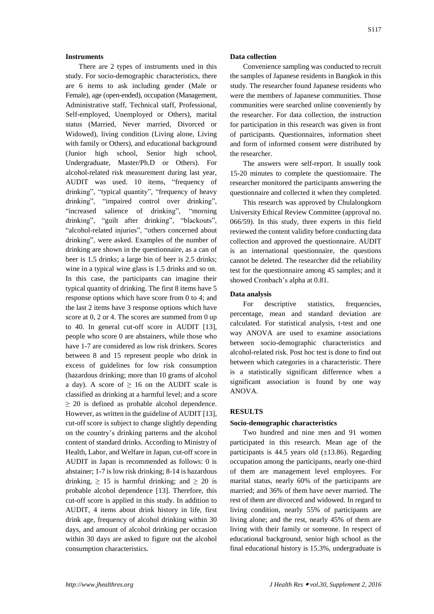#### **Instruments**

There are 2 types of instruments used in this study. For socio-demographic characteristics, there are 6 items to ask including gender (Male or Female), age (open-ended), occupation (Management, Administrative staff, Technical staff, Professional, Self-employed, Unemployed or Others), marital status (Married, Never married, Divorced or Widowed), living condition (Living alone, Living with family or Others), and educational background (Junior high school, Senior high school, Undergraduate, Master/Ph.D or Others). For alcohol-related risk measurement during last year, AUDIT was used. 10 items, "frequency of drinking", "typical quantity", "frequency of heavy drinking", "impaired control over drinking", "increased salience of drinking", "morning drinking", "guilt after drinking", "blackouts", "alcohol-related injuries", "others concerned about drinking", were asked. Examples of the number of drinking are shown in the questionnaire, as a can of beer is 1.5 drinks; a large bin of beer is 2.5 drinks; wine in a typical wine glass is 1.5 drinks and so on. In this case, the participants can imagine their typical quantity of drinking. The first 8 items have 5 response options which have score from 0 to 4; and the last 2 items have 3 response options which have score at 0, 2 or 4. The scores are summed from 0 up to 40. In general cut-off score in AUDIT [13], people who score 0 are abstainers, while those who have 1-7 are considered as low risk drinkers. Scores between 8 and 15 represent people who drink in excess of guidelines for low risk consumption (hazardous drinking; more than 10 grams of alcohol a day). A score of  $\geq$  16 on the AUDIT scale is classified as drinking at a harmful level; and a score  $\geq$  20 is defined as probable alcohol dependence. However, as written in the guideline of AUDIT [13], cut-off score is subject to change slightly depending on the country's drinking patterns and the alcohol content of standard drinks. According to Ministry of Health, Labor, and Welfare in Japan, cut-off score in AUDIT in Japan is recommended as follows: 0 is abstainer; 1-7 is low risk drinking; 8-14 is hazardous drinking,  $\geq 15$  is harmful drinking; and  $\geq 20$  is probable alcohol dependence [13]. Therefore, this cut-off score is applied in this study. In addition to AUDIT, 4 items about drink history in life, first drink age, frequency of alcohol drinking within 30 days, and amount of alcohol drinking per occasion within 30 days are asked to figure out the alcohol consumption characteristics.

#### **Data collection**

Convenience sampling was conducted to recruit the samples of Japanese residents in Bangkok in this study. The researcher found Japanese residents who were the members of Japanese communities. Those communities were searched online conveniently by the researcher. For data collection, the instruction for participation in this research was given in front of participants. Questionnaires, information sheet and form of informed consent were distributed by the researcher.

The answers were self-report. It usually took 15-20 minutes to complete the questionnaire. The researcher monitored the participants answering the questionnaire and collected it when they completed.

This research was approved by Chulalongkorn University Ethical Review Committee (approval no. 066/59). In this study, three experts in this field reviewed the content validity before conducting data collection and approved the questionnaire. AUDIT is an international questionnaire, the questions cannot be deleted. The researcher did the reliability test for the questionnaire among 45 samples; and it showed Cronbach's alpha at 0.81.

#### **Data analysis**

For descriptive statistics, frequencies, percentage, mean and standard deviation are calculated. For statistical analysis, t-test and one way ANOVA are used to examine associations between socio-demographic characteristics and alcohol-related risk. Post hoc test is done to find out between which categories in a characteristic. There is a statistically significant difference when a significant association is found by one way ANOVA.

## **RESULTS**

#### **Socio-demographic characteristics**

Two hundred and nine men and 91 women participated in this research. Mean age of the participants is 44.5 years old  $(\pm 13.86)$ . Regarding occupation among the participants, nearly one-third of them are management level employees. For marital status, nearly 60% of the participants are married; and 36% of them have never married. The rest of them are divorced and widowed. In regard to living condition, nearly 55% of participants are living alone; and the rest, nearly 45% of them are living with their family or someone. In respect of educational background, senior high school as the final educational history is 15.3%, undergraduate is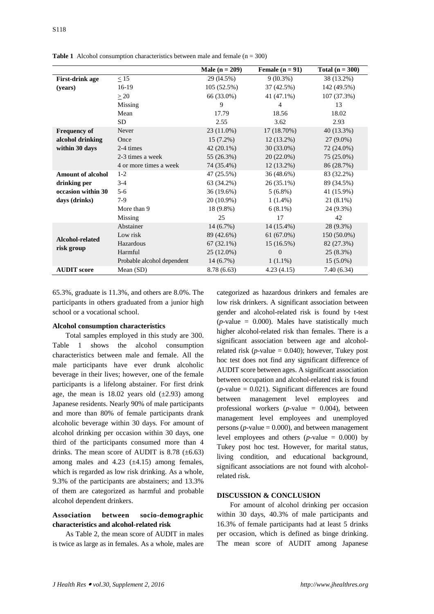|                                          |                            | <b>Male</b> $(n = 209)$   | Female $(n = 91)$ | Total $(n = 300)$ |  |
|------------------------------------------|----------------------------|---------------------------|-------------------|-------------------|--|
| <b>First-drink age</b>                   | $\leq$ 15                  | 29 (14.5%)                | $9(10.3\%)$       | 38 (13.2%)        |  |
| (years)                                  | $16-19$                    | 105 (52.5%)<br>37 (42.5%) |                   | 142 (49.5%)       |  |
|                                          | $\geq 20$                  | 66 (33.0%)                | 41 (47.1%)        | 107 (37.3%)       |  |
|                                          | Missing                    | 9                         | 4                 | 13                |  |
|                                          | Mean                       | 17.79                     | 18.56             | 18.02             |  |
|                                          | <b>SD</b>                  | 2.55                      | 3.62              | 2.93              |  |
| <b>Frequency of</b>                      | Never                      | 23 (11.0%)                | 17 (18.70%)       | 40 (13.3%)        |  |
| alcohol drinking                         | Once                       | $15(7.2\%)$               | $12(13.2\%)$      | $27(9.0\%)$       |  |
| within 30 days                           | 2-4 times                  | $42(20.1\%)$              | $30(33.0\%)$      | 72 (24.0%)        |  |
|                                          | 2-3 times a week           | 55 (26.3%)                | $20(22.0\%)$      | 75 (25.0%)        |  |
|                                          | 4 or more times a week     | 74 (35.4%)                | $12(13.2\%)$      | 86 (28.7%)        |  |
| <b>Amount of alcohol</b><br>drinking per | $1-2$                      | 47 (25.5%)                | 36 (48.6%)        | 83 (32.2%)        |  |
|                                          | $3 - 4$                    | 63 (34.2%)                | 26 (35.1%)        | 89 (34.5%)        |  |
| occasion within 30                       | $5 - 6$                    | 36 (19.6%)                | $5(6.8\%)$        | 41 (15.9%)        |  |
| days (drinks)                            | $7-9$                      | 20 (10.9%)                | $1(1.4\%)$        | $21(8.1\%)$       |  |
|                                          | More than 9                | 18 (9.8%)                 | $6(8.1\%)$        | 24 (9.3%)         |  |
|                                          | Missing                    | 25                        | 17                | 42                |  |
| Alcohol-related<br>risk group            | Abstainer                  | $14(6.7\%)$               | 14 (15.4%)        | 28 (9.3%)         |  |
|                                          | Low risk                   | 89 (42.6%)                | 61 (67.0%)        | 150 (50.0%)       |  |
|                                          | Hazardous                  | $67(32.1\%)$              | 15(16.5%)         | 82 (27.3%)        |  |
|                                          | Harmful                    | $25(12.0\%)$              | $\overline{0}$    | 25(8.3%)          |  |
|                                          | Probable alcohol dependent | $14(6.7\%)$               | $1(1.1\%)$        | $15(5.0\%)$       |  |
| <b>AUDIT</b> score                       | Mean $(SD)$                | 8.78 (6.63)               | 4.23(4.15)        | 7.40(6.34)        |  |

**Table 1** Alcohol consumption characteristics between male and female  $(n = 300)$ 

65.3%, graduate is 11.3%, and others are 8.0%. The participants in others graduated from a junior high school or a vocational school.

#### **Alcohol consumption characteristics**

Total samples employed in this study are 300. Table 1 shows the alcohol consumption characteristics between male and female. All the male participants have ever drunk alcoholic beverage in their lives; however, one of the female participants is a lifelong abstainer. For first drink age, the mean is  $18.02$  years old  $(\pm 2.93)$  among Japanese residents. Nearly 90% of male participants and more than 80% of female participants drank alcoholic beverage within 30 days. For amount of alcohol drinking per occasion within 30 days, one third of the participants consumed more than 4 drinks. The mean score of AUDIT is  $8.78$  ( $\pm$ 6.63) among males and  $4.23$  ( $\pm 4.15$ ) among females, which is regarded as low risk drinking. As a whole, 9.3% of the participants are abstainers; and 13.3% of them are categorized as harmful and probable alcohol dependent drinkers.

## **Association between socio-demographic characteristics and alcohol-related risk**

As Table 2, the mean score of AUDIT in males is twice as large as in females. As a whole, males are categorized as hazardous drinkers and females are low risk drinkers. A significant association between gender and alcohol-related risk is found by t-test (*p-*value = 0.000). Males have statistically much higher alcohol-related risk than females. There is a significant association between age and alcoholrelated risk ( $p$ -value = 0.040); however, Tukey post hoc test does not find any significant difference of AUDIT score between ages. A significant association between occupation and alcohol-related risk is found  $(p$ -value  $= 0.021$ ). Significant differences are found between management level employees and professional workers (*p-*value = 0.004), between management level employees and unemployed persons (*p-*value = 0.000), and between management level employees and others (*p-*value = 0.000) by Tukey post hoc test. However, for marital status, living condition, and educational background, significant associations are not found with alcoholrelated risk.

#### **DISCUSSION & CONCLUSION**

For amount of alcohol drinking per occasion within 30 days, 40.3% of male participants and 16.3% of female participants had at least 5 drinks per occasion, which is defined as binge drinking. The mean score of AUDIT among Japanese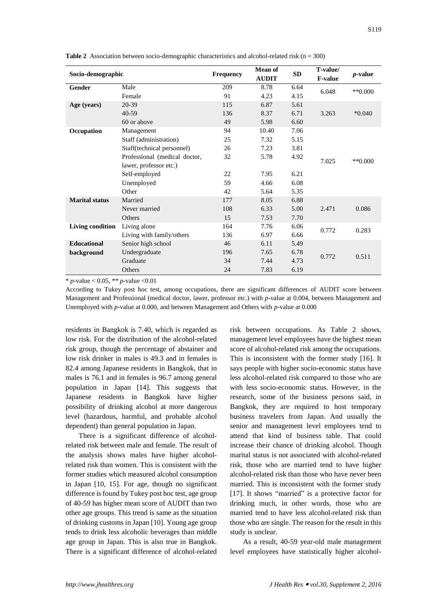| Socio-demographic     |                               | <b>Frequency</b> | <b>Mean of</b><br><b>AUDIT</b> | <b>SD</b> | T-value/<br><b>F-value</b> | <i>p</i> -value |
|-----------------------|-------------------------------|------------------|--------------------------------|-----------|----------------------------|-----------------|
| Gender                | Male                          | 209              | 8.78                           | 6.64      | 6.048                      | $**0.000$       |
|                       | Female                        | 91               | 4.23                           | 4.15      |                            |                 |
| Age (years)           | 20-39                         | 115              | 6.87                           | 5.61      |                            |                 |
|                       | $40 - 59$                     | 136              | 8.37                           | 6.71      | 3.263                      | $*0.040$        |
|                       | 60 or above                   | 49               | 5.98                           | 6.60      |                            |                 |
| Occupation            | Management                    | 94               | 10.40                          | 7.06      |                            |                 |
|                       | Staff (administration)        | 25               | 7.32                           | 5.15      | 7.025                      | $**0.000$       |
|                       | Staff(technical personnel)    | 26               | 7.23                           | 3.81      |                            |                 |
|                       | Professional (medical doctor, | 32               | 5.78                           | 4.92      |                            |                 |
|                       | lawer, professor etc.)        |                  |                                |           |                            |                 |
|                       | Self-employed                 | 22               | 7.95                           | 6.21      |                            |                 |
|                       | Unemployed                    | 59               | 4.66                           | 6.08      |                            |                 |
|                       | Other                         | 42               | 5.64                           | 5.35      |                            |                 |
| <b>Marital status</b> | Married                       | 177              | 8.05                           | 6.88      |                            |                 |
|                       | Never married                 | 108              | 6.33                           | 5.00      | 2.471                      | 0.086           |
|                       | Others                        | 15               | 7.53                           | 7.70      |                            |                 |
| Living condition      | Living alone                  | 164              | 7.76                           | 6.06      | 0.772                      | 0.283           |
|                       | Living with family/others     | 136              | 6.97                           | 6.66      |                            |                 |
| <b>Educational</b>    | Senior high school            | 46               | 6.11                           | 5.49      | 0.772                      | 0.511           |
| background            | Undergraduate                 | 196              | 7.65                           | 6.78      |                            |                 |
|                       | Graduate                      | 34               | 7.44                           | 4.73      |                            |                 |
|                       | Others                        | 24               | 7.83                           | 6.19      |                            |                 |

**Table 2** Association between socio-demographic characteristics and alcohol-related risk (n = 300)

\* *p-*value < 0.05, \*\* *p-*value <0.01

According to Tukey post hoc test, among occupations, there are significant differences of AUDIT score between Management and Professional (medical doctor, lawer, professor etc.) with *p-*value at 0.004, between Management and Unemployed with *p-*value at 0.000, and between Management and Others with *p-*value at 0.000

residents in Bangkok is 7.40, which is regarded as low risk. For the distribution of the alcohol-related risk group, though the percentage of abstainer and low risk drinker in males is 49.3 and in females is 82.4 among Japanese residents in Bangkok, that in males is 76.1 and in females is 96.7 among general population in Japan [14]. This suggests that Japanese residents in Bangkok have higher possibility of drinking alcohol at more dangerous level (hazardous, harmful, and probable alcohol dependent) than general population in Japan.

There is a significant difference of alcoholrelated risk between male and female. The result of the analysis shows males have higher alcoholrelated risk than women. This is consistent with the former studies which measured alcohol consumption in Japan [10, 15]. For age, though no significant difference is found by Tukey post hoc test, age group of 40-59 has higher mean score of AUDIT than two other age groups. This trend is same as the situation of drinking customs in Japan [10]. Young age group tends to drink less alcoholic beverages than middle age group in Japan. This is also true in Bangkok. There is a significant difference of alcohol-related risk between occupations. As Table 2 shows, management level employees have the highest mean score of alcohol-related risk among the occupations. This is inconsistent with the former study [16]. It says people with higher socio-economic status have less alcohol-related risk compared to those who are with less socio-economic status. However, in the research, some of the business persons said, in Bangkok, they are required to host temporary business travelers from Japan. And usually the senior and management level employees tend to attend that kind of business table. That could increase their chance of drinking alcohol. Though marital status is not associated with alcohol-related risk, those who are married tend to have higher alcohol-related risk than those who have never been married. This is inconsistent with the former study [17]. It shows "married" is a protective factor for drinking much, in other words, those who are married tend to have less alcohol-related risk than those who are single. The reason for the result in this study is unclear.

As a result, 40-59 year-old male management level employees have statistically higher alcohol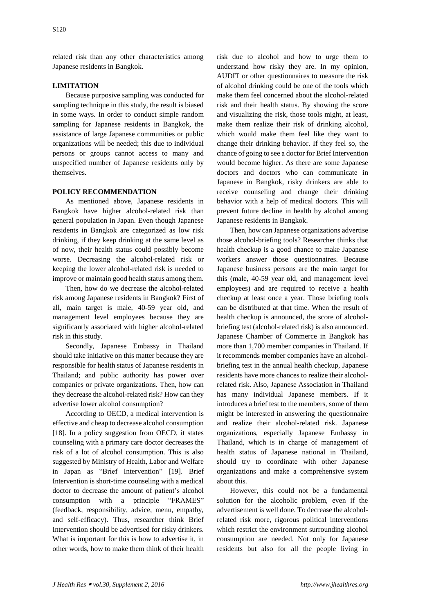related risk than any other characteristics among Japanese residents in Bangkok.

## **LIMITATION**

Because purposive sampling was conducted for sampling technique in this study, the result is biased in some ways. In order to conduct simple random sampling for Japanese residents in Bangkok, the assistance of large Japanese communities or public organizations will be needed; this due to individual persons or groups cannot access to many and unspecified number of Japanese residents only by themselves.

#### **POLICY RECOMMENDATION**

As mentioned above, Japanese residents in Bangkok have higher alcohol-related risk than general population in Japan. Even though Japanese residents in Bangkok are categorized as low risk drinking, if they keep drinking at the same level as of now, their health status could possibly become worse. Decreasing the alcohol-related risk or keeping the lower alcohol-related risk is needed to improve or maintain good health status among them.

Then, how do we decrease the alcohol-related risk among Japanese residents in Bangkok? First of all, main target is male, 40-59 year old, and management level employees because they are significantly associated with higher alcohol-related risk in this study.

Secondly, Japanese Embassy in Thailand should take initiative on this matter because they are responsible for health status of Japanese residents in Thailand; and public authority has power over companies or private organizations. Then, how can they decrease the alcohol-related risk? How can they advertise lower alcohol consumption?

According to OECD, a medical intervention is effective and cheap to decrease alcohol consumption [18]. In a policy suggestion from OECD, it states counseling with a primary care doctor decreases the risk of a lot of alcohol consumption. This is also suggested by Ministry of Health, Labor and Welfare in Japan as "Brief Intervention" [19]. Brief Intervention is short-time counseling with a medical doctor to decrease the amount of patient's alcohol consumption with a principle "FRAMES" (feedback, responsibility, advice, menu, empathy, and self-efficacy). Thus, researcher think Brief Intervention should be advertised for risky drinkers. What is important for this is how to advertise it, in other words, how to make them think of their health

risk due to alcohol and how to urge them to understand how risky they are. In my opinion, AUDIT or other questionnaires to measure the risk of alcohol drinking could be one of the tools which make them feel concerned about the alcohol-related risk and their health status. By showing the score and visualizing the risk, those tools might, at least, make them realize their risk of drinking alcohol, which would make them feel like they want to change their drinking behavior. If they feel so, the chance of going to see a doctor for Brief Intervention would become higher. As there are some Japanese doctors and doctors who can communicate in Japanese in Bangkok, risky drinkers are able to receive counseling and change their drinking behavior with a help of medical doctors. This will prevent future decline in health by alcohol among Japanese residents in Bangkok.

Then, how can Japanese organizations advertise those alcohol-briefing tools? Researcher thinks that health checkup is a good chance to make Japanese workers answer those questionnaires. Because Japanese business persons are the main target for this (male, 40-59 year old, and management level employees) and are required to receive a health checkup at least once a year. Those briefing tools can be distributed at that time. When the result of health checkup is announced, the score of alcoholbriefing test (alcohol-related risk) is also announced. Japanese Chamber of Commerce in Bangkok has more than 1,700 member companies in Thailand. If it recommends member companies have an alcoholbriefing test in the annual health checkup, Japanese residents have more chances to realize their alcoholrelated risk. Also, Japanese Association in Thailand has many individual Japanese members. If it introduces a brief test to the members, some of them might be interested in answering the questionnaire and realize their alcohol-related risk. Japanese organizations, especially Japanese Embassy in Thailand, which is in charge of management of health status of Japanese national in Thailand, should try to coordinate with other Japanese organizations and make a comprehensive system about this.

However, this could not be a fundamental solution for the alcoholic problem, even if the advertisement is well done. To decrease the alcoholrelated risk more, rigorous political interventions which restrict the environment surrounding alcohol consumption are needed. Not only for Japanese residents but also for all the people living in